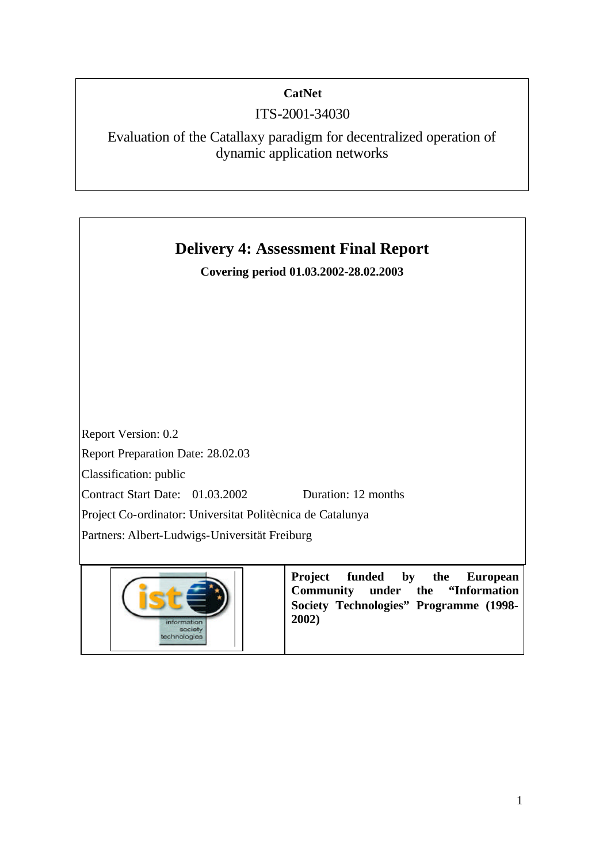# **CatNet**

# ITS-2001-34030

Evaluation of the Catallaxy paradigm for decentralized operation of dynamic application networks

# **Delivery 4: Assessment Final Report Covering period 01.03.2002-28.02.2003** Report Version: 0.2 Report Preparation Date: 28.02.03 Classification: public Contract Start Date: 01.03.2002 Duration: 12 months Project Co-ordinator: Universitat Politècnica de Catalunya Partners: Albert-Ludwigs-Universität Freiburg **Project funded by the European Community under the "Information Society Technologies" Programme (1998- 2002)**

sociaty echnologies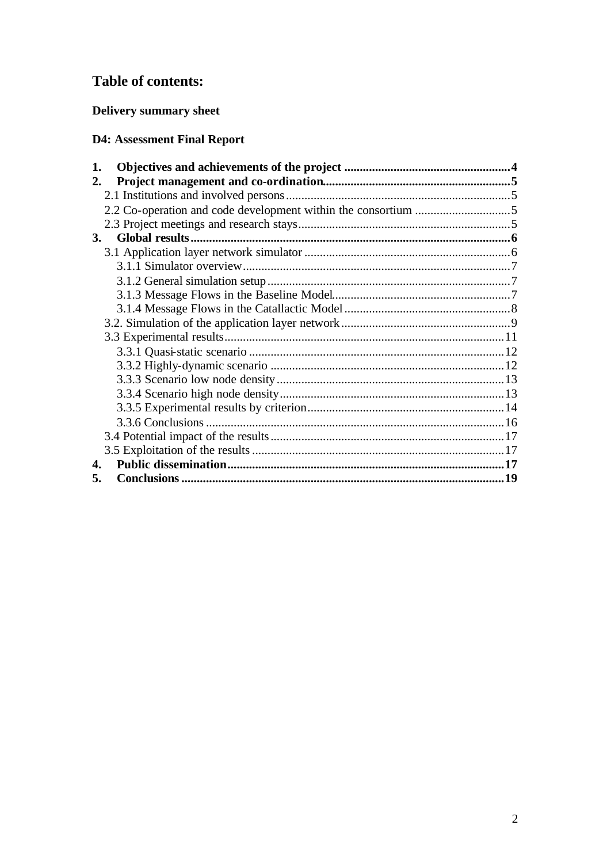# **Table of contents:**

# Delivery summary sheet

# **D4: Assessment Final Report**

| 1.        |  |
|-----------|--|
| 2.        |  |
|           |  |
|           |  |
|           |  |
| <b>3.</b> |  |
|           |  |
|           |  |
|           |  |
|           |  |
|           |  |
|           |  |
|           |  |
|           |  |
|           |  |
|           |  |
|           |  |
|           |  |
|           |  |
|           |  |
|           |  |
| 4.        |  |
| 5.        |  |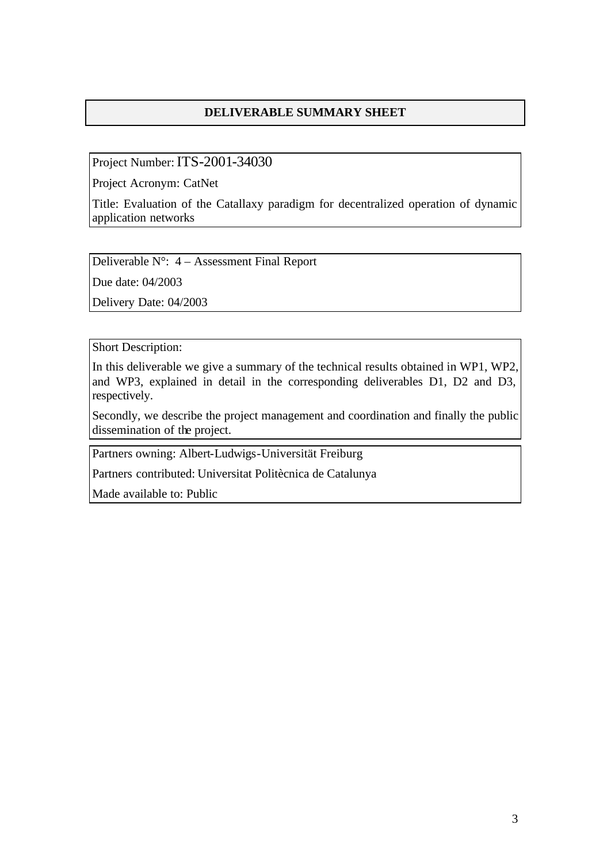## **DELIVERABLE SUMMARY SHEET**

Project Number: ITS-2001-34030

Project Acronym: CatNet

Title: Evaluation of the Catallaxy paradigm for decentralized operation of dynamic application networks

Deliverable N°: 4 – Assessment Final Report

Due date: 04/2003

Delivery Date: 04/2003

Short Description:

In this deliverable we give a summary of the technical results obtained in WP1, WP2, and WP3, explained in detail in the corresponding deliverables D1, D2 and D3, respectively.

Secondly, we describe the project management and coordination and finally the public dissemination of the project.

Partners owning: Albert-Ludwigs-Universität Freiburg

Partners contributed: Universitat Politècnica de Catalunya

Made available to: Public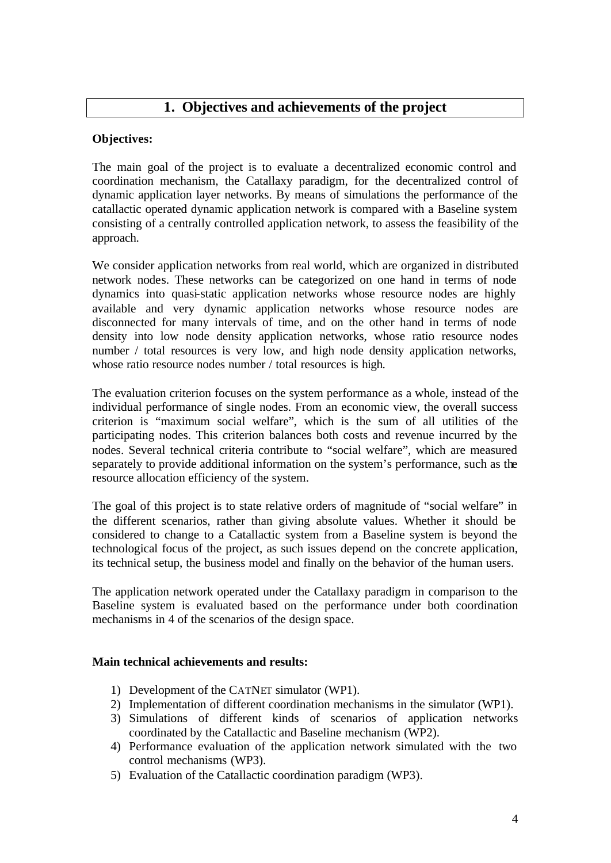## **Objectives:**

The main goal of the project is to evaluate a decentralized economic control and coordination mechanism, the Catallaxy paradigm, for the decentralized control of dynamic application layer networks. By means of simulations the performance of the catallactic operated dynamic application network is compared with a Baseline system consisting of a centrally controlled application network, to assess the feasibility of the approach.

We consider application networks from real world, which are organized in distributed network nodes. These networks can be categorized on one hand in terms of node dynamics into quasi-static application networks whose resource nodes are highly available and very dynamic application networks whose resource nodes are disconnected for many intervals of time, and on the other hand in terms of node density into low node density application networks, whose ratio resource nodes number / total resources is very low, and high node density application networks, whose ratio resource nodes number / total resources is high.

The evaluation criterion focuses on the system performance as a whole, instead of the individual performance of single nodes. From an economic view, the overall success criterion is "maximum social welfare", which is the sum of all utilities of the participating nodes. This criterion balances both costs and revenue incurred by the nodes. Several technical criteria contribute to "social welfare", which are measured separately to provide additional information on the system's performance, such as the resource allocation efficiency of the system.

The goal of this project is to state relative orders of magnitude of "social welfare" in the different scenarios, rather than giving absolute values. Whether it should be considered to change to a Catallactic system from a Baseline system is beyond the technological focus of the project, as such issues depend on the concrete application, its technical setup, the business model and finally on the behavior of the human users.

The application network operated under the Catallaxy paradigm in comparison to the Baseline system is evaluated based on the performance under both coordination mechanisms in 4 of the scenarios of the design space.

### **Main technical achievements and results:**

- 1) Development of the CATNET simulator (WP1).
- 2) Implementation of different coordination mechanisms in the simulator (WP1).
- 3) Simulations of different kinds of scenarios of application networks coordinated by the Catallactic and Baseline mechanism (WP2).
- 4) Performance evaluation of the application network simulated with the two control mechanisms (WP3).
- 5) Evaluation of the Catallactic coordination paradigm (WP3).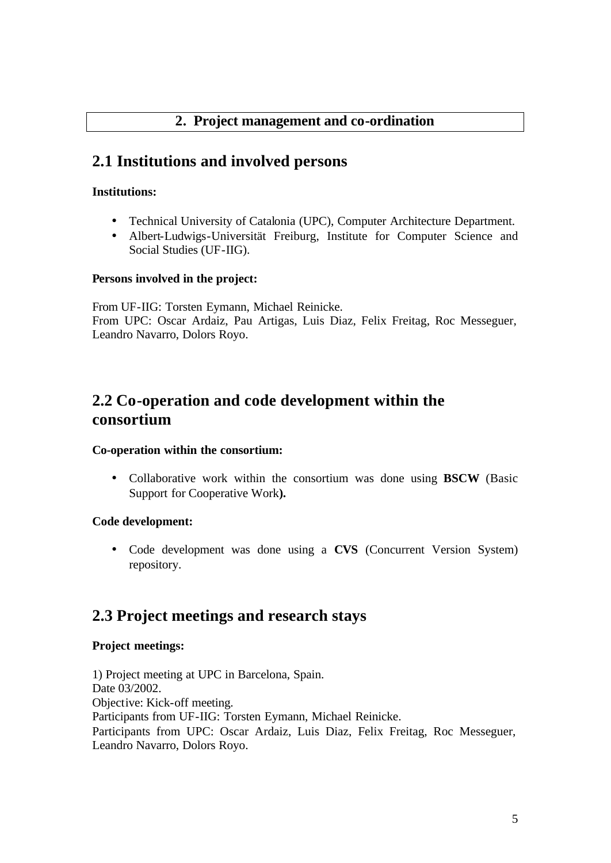# **2. Project management and co-ordination**

# **2.1 Institutions and involved persons**

#### **Institutions:**

- Technical University of Catalonia (UPC), Computer Architecture Department.
- Albert-Ludwigs-Universität Freiburg, Institute for Computer Science and Social Studies (UF-IIG).

#### **Persons involved in the project:**

From UF-IIG: Torsten Eymann, Michael Reinicke. From UPC: Oscar Ardaiz, Pau Artigas, Luis Diaz, Felix Freitag, Roc Messeguer, Leandro Navarro, Dolors Royo.

# **2.2 Co-operation and code development within the consortium**

#### **Co-operation within the consortium:**

• Collaborative work within the consortium was done using **BSCW** (Basic Support for Cooperative Work**).** 

### **Code development:**

• Code development was done using a **CVS** (Concurrent Version System) repository.

# **2.3 Project meetings and research stays**

## **Project meetings:**

1) Project meeting at UPC in Barcelona, Spain. Date 03/2002. Objective: Kick-off meeting. Participants from UF-IIG: Torsten Eymann, Michael Reinicke. Participants from UPC: Oscar Ardaiz, Luis Diaz, Felix Freitag, Roc Messeguer, Leandro Navarro, Dolors Royo.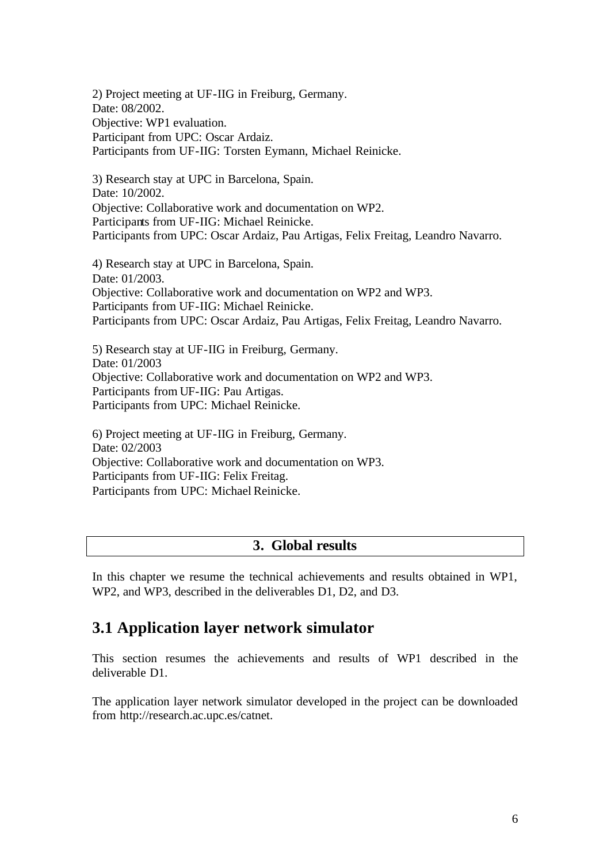2) Project meeting at UF-IIG in Freiburg, Germany. Date: 08/2002. Objective: WP1 evaluation. Participant from UPC: Oscar Ardaiz. Participants from UF-IIG: Torsten Eymann, Michael Reinicke.

3) Research stay at UPC in Barcelona, Spain. Date: 10/2002. Objective: Collaborative work and documentation on WP2. Participants from UF-IIG: Michael Reinicke. Participants from UPC: Oscar Ardaiz, Pau Artigas, Felix Freitag, Leandro Navarro.

4) Research stay at UPC in Barcelona, Spain. Date: 01/2003. Objective: Collaborative work and documentation on WP2 and WP3. Participants from UF-IIG: Michael Reinicke. Participants from UPC: Oscar Ardaiz, Pau Artigas, Felix Freitag, Leandro Navarro.

5) Research stay at UF-IIG in Freiburg, Germany. Date: 01/2003 Objective: Collaborative work and documentation on WP2 and WP3. Participants from UF-IIG: Pau Artigas. Participants from UPC: Michael Reinicke.

6) Project meeting at UF-IIG in Freiburg, Germany. Date: 02/2003 Objective: Collaborative work and documentation on WP3. Participants from UF-IIG: Felix Freitag. Participants from UPC: Michael Reinicke.

## **3. Global results**

In this chapter we resume the technical achievements and results obtained in WP1, WP2, and WP3, described in the deliverables D1, D2, and D3.

# **3.1 Application layer network simulator**

This section resumes the achievements and results of WP1 described in the deliverable D1.

The application layer network simulator developed in the project can be downloaded from http://research.ac.upc.es/catnet.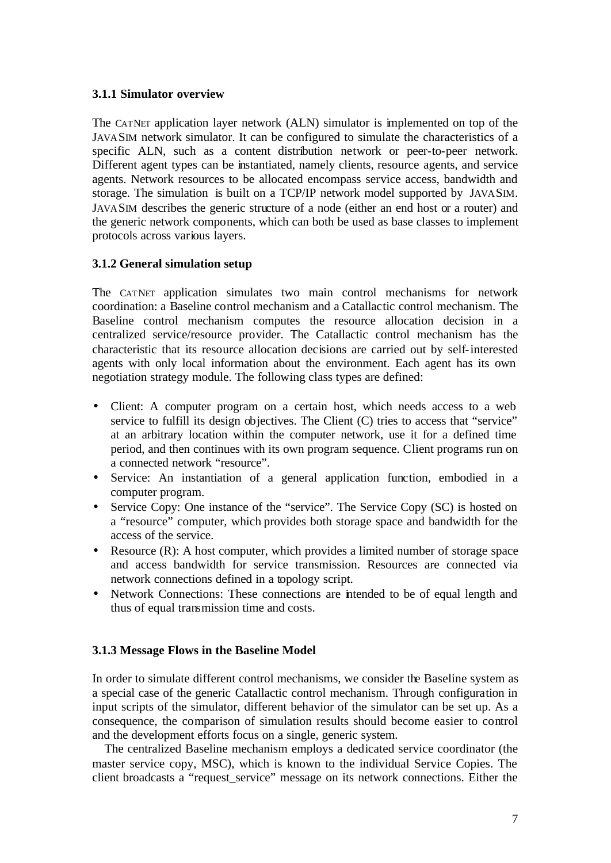#### **3.1.1 Simulator overview**

The CATNET application layer network (ALN) simulator is implemented on top of the JAVASIM network simulator. It can be configured to simulate the characteristics of a specific ALN, such as a content distribution network or peer-to-peer network. Different agent types can be instantiated, namely clients, resource agents, and service agents. Network resources to be allocated encompass service access, bandwidth and storage. The simulation is built on a TCP/IP network model supported by JAVASIM. JAVASIM describes the generic structure of a node (either an end host or a router) and the generic network components, which can both be used as base classes to implement protocols across various layers.

### **3.1.2 General simulation setup**

The CATNET application simulates two main control mechanisms for network coordination: a Baseline control mechanism and a Catallactic control mechanism. The Baseline control mechanism computes the resource allocation decision in a centralized service/resource provider. The Catallactic control mechanism has the characteristic that its resource allocation decisions are carried out by self-interested agents with only local information about the environment. Each agent has its own negotiation strategy module. The following class types are defined:

- Client: A computer program on a certain host, which needs access to a web service to fulfill its design objectives. The Client (C) tries to access that "service" at an arbitrary location within the computer network, use it for a defined time period, and then continues with its own program sequence. Client programs run on a connected network "resource".
- Service: An instantiation of a general application function, embodied in a computer program.
- Service Copy: One instance of the "service". The Service Copy (SC) is hosted on a "resource" computer, which provides both storage space and bandwidth for the access of the service.
- Resource (R): A host computer, which provides a limited number of storage space and access bandwidth for service transmission. Resources are connected via network connections defined in a topology script.
- Network Connections: These connections are intended to be of equal length and thus of equal transmission time and costs.

### **3.1.3 Message Flows in the Baseline Model**

In order to simulate different control mechanisms, we consider the Baseline system as a special case of the generic Catallactic control mechanism. Through configuration in input scripts of the simulator, different behavior of the simulator can be set up. As a consequence, the comparison of simulation results should become easier to control and the development efforts focus on a single, generic system.

The centralized Baseline mechanism employs a dedicated service coordinator (the master service copy, MSC), which is known to the individual Service Copies. The client broadcasts a "request\_service" message on its network connections. Either the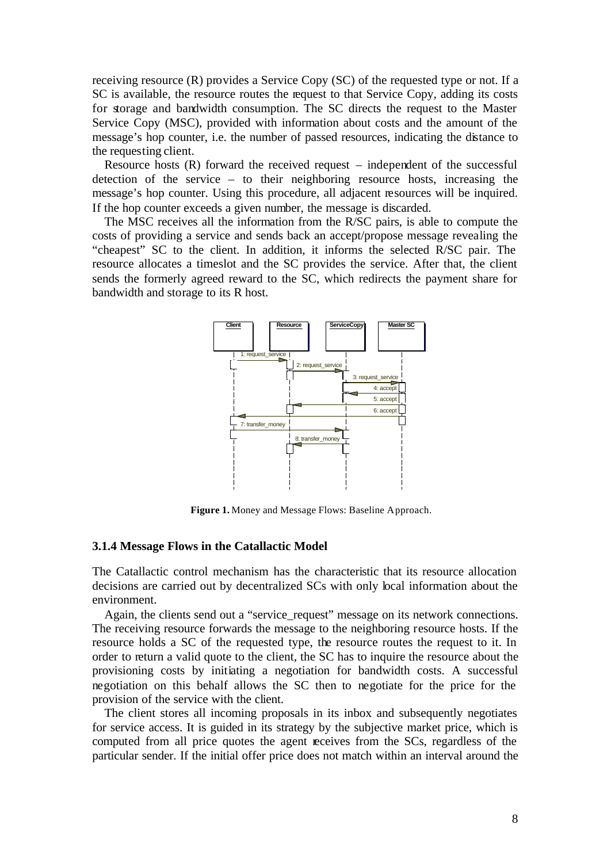receiving resource (R) provides a Service Copy (SC) of the requested type or not. If a SC is available, the resource routes the request to that Service Copy, adding its costs for storage and bandwidth consumption. The SC directs the request to the Master Service Copy (MSC), provided with information about costs and the amount of the message's hop counter, i.e. the number of passed resources, indicating the distance to the requesting client.

Resource hosts (R) forward the received request – independent of the successful detection of the service – to their neighboring resource hosts, increasing the message's hop counter. Using this procedure, all adjacent resources will be inquired. If the hop counter exceeds a given number, the message is discarded.

The MSC receives all the information from the R/SC pairs, is able to compute the costs of providing a service and sends back an accept/propose message revealing the "cheapest" SC to the client. In addition, it informs the selected R/SC pair. The resource allocates a timeslot and the SC provides the service. After that, the client sends the formerly agreed reward to the SC, which redirects the payment share for bandwidth and storage to its R host.



**Figure 1.** Money and Message Flows: Baseline Approach.

#### **3.1.4 Message Flows in the Catallactic Model**

The Catallactic control mechanism has the characteristic that its resource allocation decisions are carried out by decentralized SCs with only local information about the environment.

Again, the clients send out a "service request" message on its network connections. The receiving resource forwards the message to the neighboring resource hosts. If the resource holds a SC of the requested type, the resource routes the request to it. In order to return a valid quote to the client, the SC has to inquire the resource about the provisioning costs by initiating a negotiation for bandwidth costs. A successful negotiation on this behalf allows the SC then to negotiate for the price for the provision of the service with the client.

The client stores all incoming proposals in its inbox and subsequently negotiates for service access. It is guided in its strategy by the subjective market price, which is computed from all price quotes the agent receives from the SCs, regardless of the particular sender. If the initial offer price does not match within an interval around the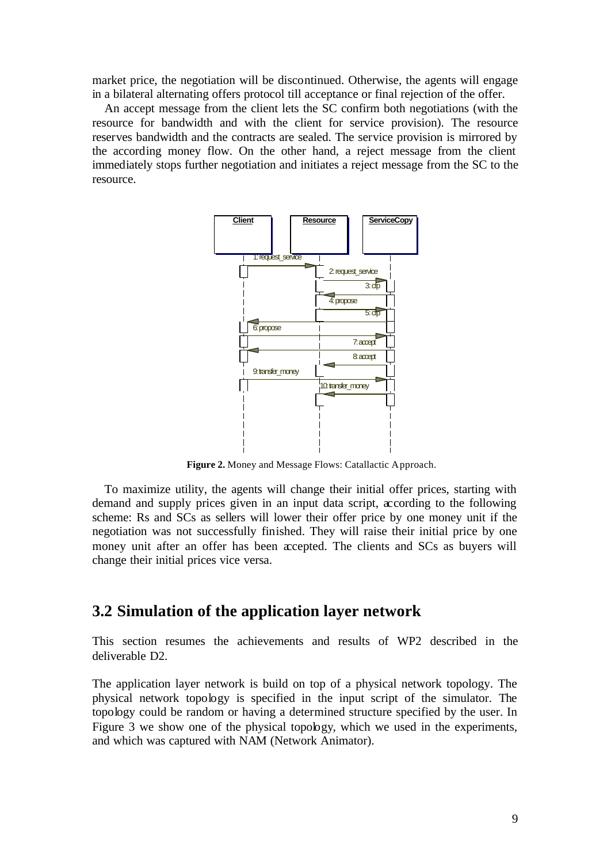market price, the negotiation will be discontinued. Otherwise, the agents will engage in a bilateral alternating offers protocol till acceptance or final rejection of the offer.

An accept message from the client lets the SC confirm both negotiations (with the resource for bandwidth and with the client for service provision). The resource reserves bandwidth and the contracts are sealed. The service provision is mirrored by the according money flow. On the other hand, a reject message from the client immediately stops further negotiation and initiates a reject message from the SC to the resource.



**Figure 2.** Money and Message Flows: Catallactic Approach.

To maximize utility, the agents will change their initial offer prices, starting with demand and supply prices given in an input data script, according to the following scheme: Rs and SCs as sellers will lower their offer price by one money unit if the negotiation was not successfully finished. They will raise their initial price by one money unit after an offer has been accepted. The clients and SCs as buyers will change their initial prices vice versa.

## **3.2 Simulation of the application layer network**

This section resumes the achievements and results of WP2 described in the deliverable D2.

The application layer network is build on top of a physical network topology. The physical network topology is specified in the input script of the simulator. The topology could be random or having a determined structure specified by the user. In Figure 3 we show one of the physical topology, which we used in the experiments, and which was captured with NAM (Network Animator).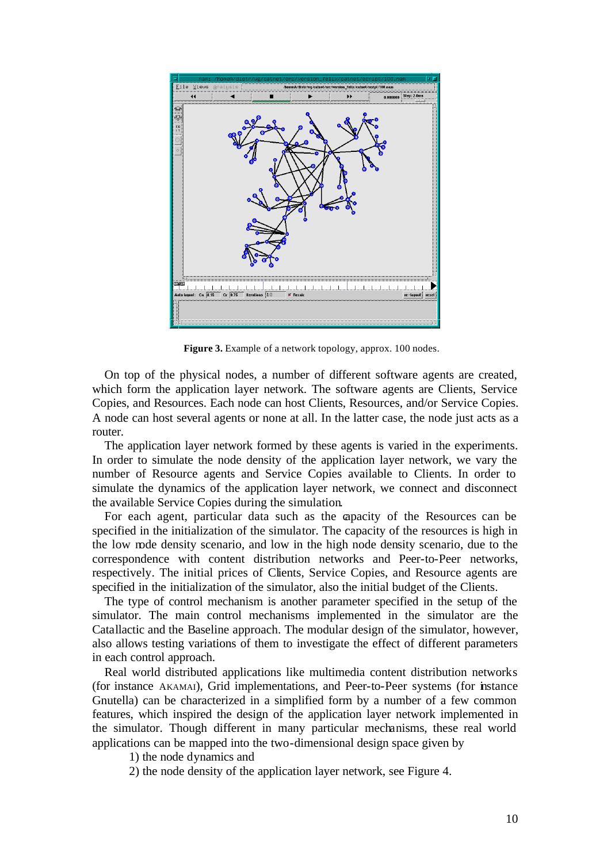

**Figure 3.** Example of a network topology, approx. 100 nodes.

On top of the physical nodes, a number of different software agents are created, which form the application layer network. The software agents are Clients, Service Copies, and Resources. Each node can host Clients, Resources, and/or Service Copies. A node can host several agents or none at all. In the latter case, the node just acts as a router.

The application layer network formed by these agents is varied in the experiments. In order to simulate the node density of the application layer network, we vary the number of Resource agents and Service Copies available to Clients. In order to simulate the dynamics of the application layer network, we connect and disconnect the available Service Copies during the simulation.

For each agent, particular data such as the capacity of the Resources can be specified in the initialization of the simulator. The capacity of the resources is high in the low node density scenario, and low in the high node density scenario, due to the correspondence with content distribution networks and Peer-to-Peer networks, respectively. The initial prices of Clients, Service Copies, and Resource agents are specified in the initialization of the simulator, also the initial budget of the Clients.

The type of control mechanism is another parameter specified in the setup of the simulator. The main control mechanisms implemented in the simulator are the Catallactic and the Baseline approach. The modular design of the simulator, however, also allows testing variations of them to investigate the effect of different parameters in each control approach.

Real world distributed applications like multimedia content distribution networks (for instance AKAMAI), Grid implementations, and Peer-to-Peer systems (for instance Gnutella) can be characterized in a simplified form by a number of a few common features, which inspired the design of the application layer network implemented in the simulator. Though different in many particular mechanisms, these real world applications can be mapped into the two-dimensional design space given by

1) the node dynamics and

2) the node density of the application layer network, see Figure 4.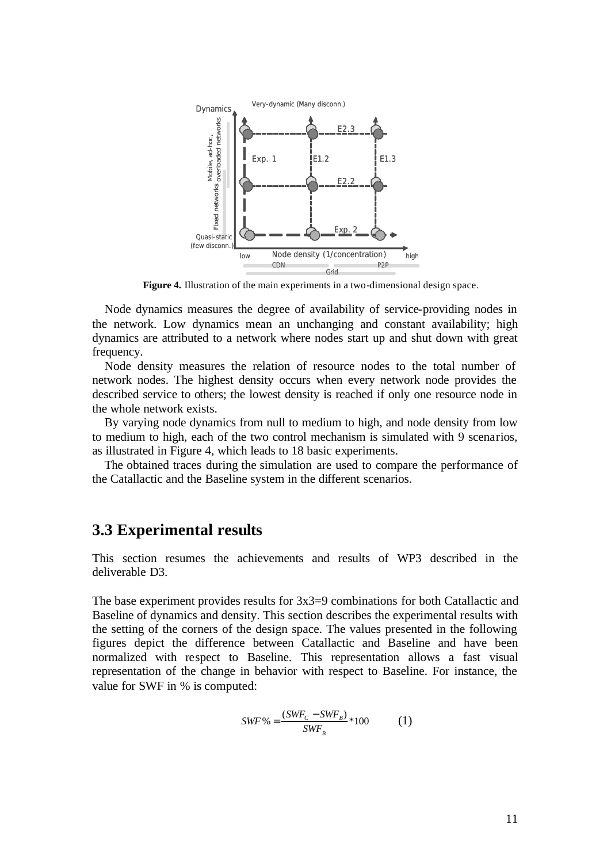

**Figure 4.** Illustration of the main experiments in a two-dimensional design space.

Node dynamics measures the degree of availability of service-providing nodes in the network. Low dynamics mean an unchanging and constant availability; high dynamics are attributed to a network where nodes start up and shut down with great frequency.

Node density measures the relation of resource nodes to the total number of network nodes. The highest density occurs when every network node provides the described service to others; the lowest density is reached if only one resource node in the whole network exists.

By varying node dynamics from null to medium to high, and node density from low to medium to high, each of the two control mechanism is simulated with 9 scenarios, as illustrated in Figure 4, which leads to 18 basic experiments.

The obtained traces during the simulation are used to compare the performance of the Catallactic and the Baseline system in the different scenarios.

## **3.3 Experimental results**

This section resumes the achievements and results of WP3 described in the deliverable D3.

The base experiment provides results for 3x3=9 combinations for both Catallactic and Baseline of dynamics and density. This section describes the experimental results with the setting of the corners of the design space. The values presented in the following figures depict the difference between Catallactic and Baseline and have been normalized with respect to Baseline. This representation allows a fast visual representation of the change in behavior with respect to Baseline. For instance, the value for SWF in % is computed:

$$
SWF\% = \frac{(SWF_c - SWF_B)}{SWF_B} * 100\tag{1}
$$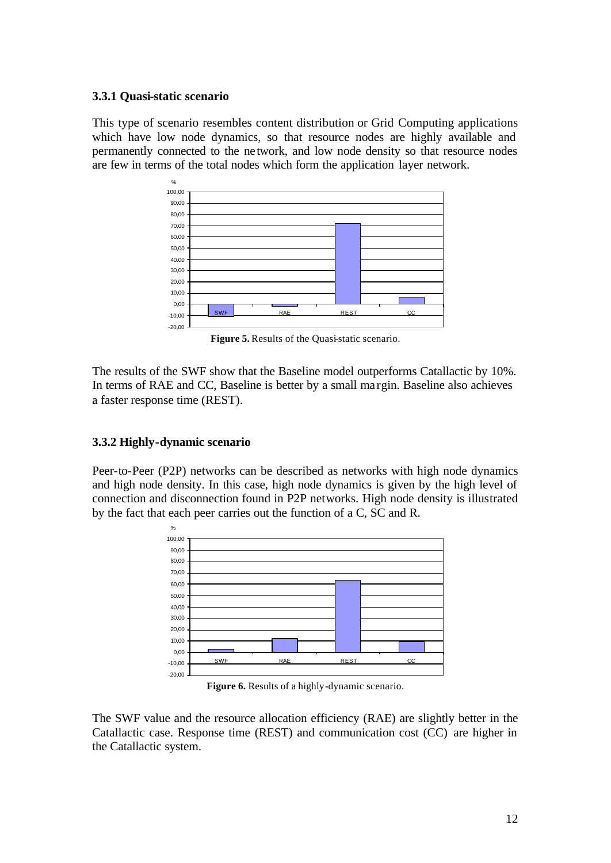#### **3.3.1 Quasi-static scenario**

This type of scenario resembles content distribution or Grid Computing applications which have low node dynamics, so that resource nodes are highly available and permanently connected to the network, and low node density so that resource nodes are few in terms of the total nodes which form the application layer network.



**Figure 5.** Results of the Quasi-static scenario.

The results of the SWF show that the Baseline model outperforms Catallactic by 10%. In terms of RAE and CC, Baseline is better by a small ma rgin. Baseline also achieves a faster response time (REST).

### **3.3.2 Highly-dynamic scenario**

Peer-to-Peer (P2P) networks can be described as networks with high node dynamics and high node density. In this case, high node dynamics is given by the high level of connection and disconnection found in P2P networks. High node density is illustrated by the fact that each peer carries out the function of a C, SC and R.



**Figure 6.** Results of a highly-dynamic scenario.

The SWF value and the resource allocation efficiency (RAE) are slightly better in the Catallactic case. Response time (REST) and communication cost (CC) are higher in the Catallactic system.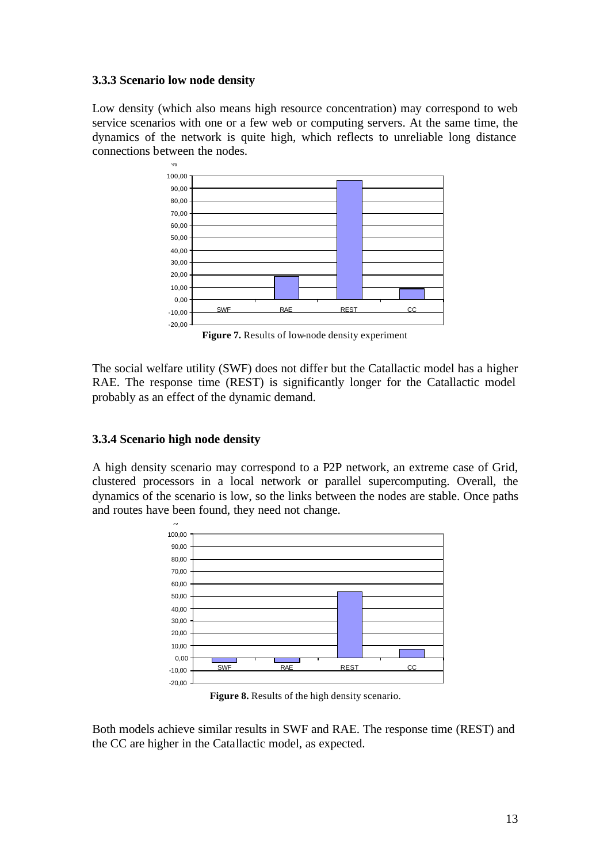#### **3.3.3 Scenario low node density**

Low density (which also means high resource concentration) may correspond to web service scenarios with one or a few web or computing servers. At the same time, the dynamics of the network is quite high, which reflects to unreliable long distance connections between the nodes.



**Figure 7.** Results of low-node density experiment

The social welfare utility (SWF) does not differ but the Catallactic model has a higher RAE. The response time (REST) is significantly longer for the Catallactic model probably as an effect of the dynamic demand.

### **3.3.4 Scenario high node density**

A high density scenario may correspond to a P2P network, an extreme case of Grid, clustered processors in a local network or parallel supercomputing. Overall, the dynamics of the scenario is low, so the links between the nodes are stable. Once paths and routes have been found, they need not change.



**Figure 8.** Results of the high density scenario.

Both models achieve similar results in SWF and RAE. The response time (REST) and the CC are higher in the Catallactic model, as expected.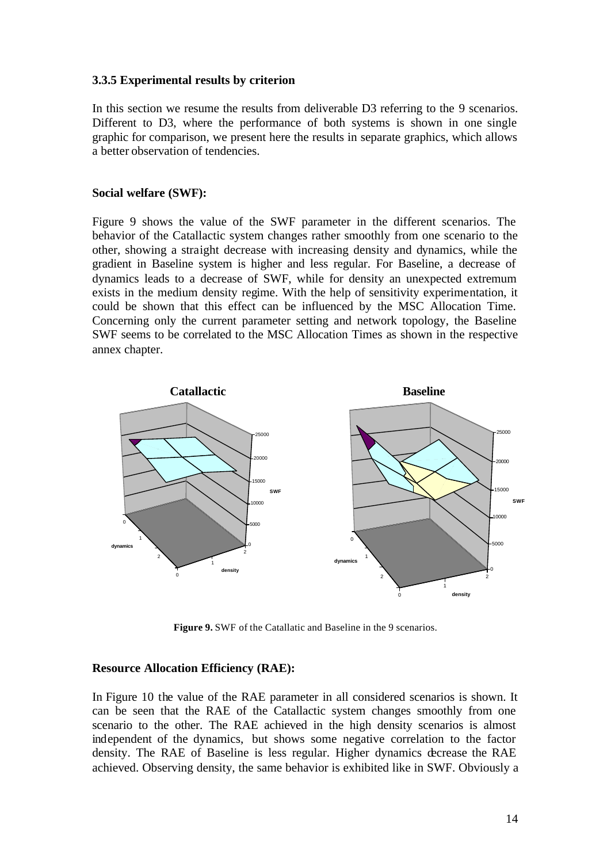#### **3.3.5 Experimental results by criterion**

In this section we resume the results from deliverable D3 referring to the 9 scenarios. Different to D3, where the performance of both systems is shown in one single graphic for comparison, we present here the results in separate graphics, which allows a better observation of tendencies.

#### **Social welfare (SWF):**

Figure 9 shows the value of the SWF parameter in the different scenarios. The behavior of the Catallactic system changes rather smoothly from one scenario to the other, showing a straight decrease with increasing density and dynamics, while the gradient in Baseline system is higher and less regular. For Baseline, a decrease of dynamics leads to a decrease of SWF, while for density an unexpected extremum exists in the medium density regime. With the help of sensitivity experimentation, it could be shown that this effect can be influenced by the MSC Allocation Time. Concerning only the current parameter setting and network topology, the Baseline SWF seems to be correlated to the MSC Allocation Times as shown in the respective annex chapter.



**Figure 9.** SWF of the Catallatic and Baseline in the 9 scenarios.

#### **Resource Allocation Efficiency (RAE):**

In Figure 10 the value of the RAE parameter in all considered scenarios is shown. It can be seen that the RAE of the Catallactic system changes smoothly from one scenario to the other. The RAE achieved in the high density scenarios is almost independent of the dynamics, but shows some negative correlation to the factor density. The RAE of Baseline is less regular. Higher dynamics decrease the RAE achieved. Observing density, the same behavior is exhibited like in SWF. Obviously a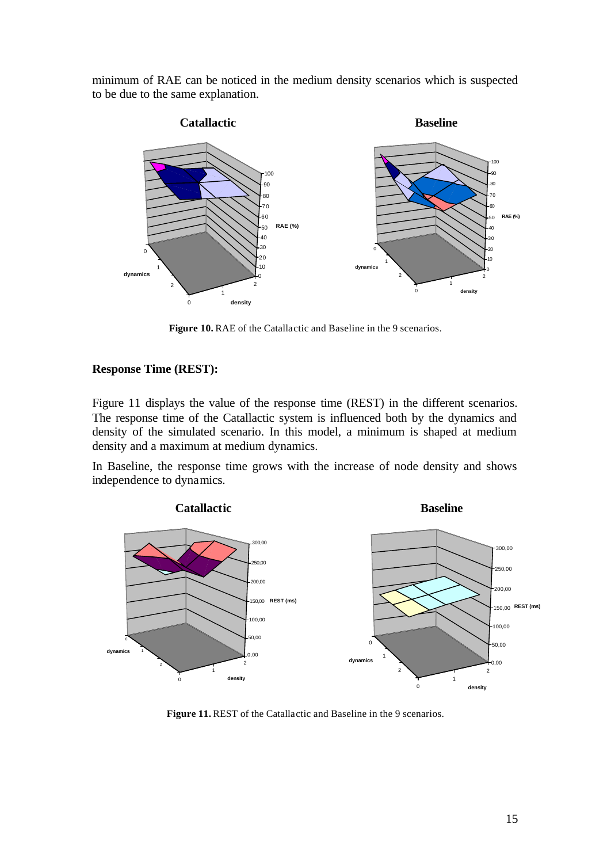minimum of RAE can be noticed in the medium density scenarios which is suspected to be due to the same explanation.



Figure 10. RAE of the Catallactic and Baseline in the 9 scenarios.

#### **Response Time (REST):**

Figure 11 displays the value of the response time (REST) in the different scenarios. The response time of the Catallactic system is influenced both by the dynamics and density of the simulated scenario. In this model, a minimum is shaped at medium density and a maximum at medium dynamics.

In Baseline, the response time grows with the increase of node density and shows independence to dynamics.



**Figure 11. REST** of the Catallactic and Baseline in the 9 scenarios.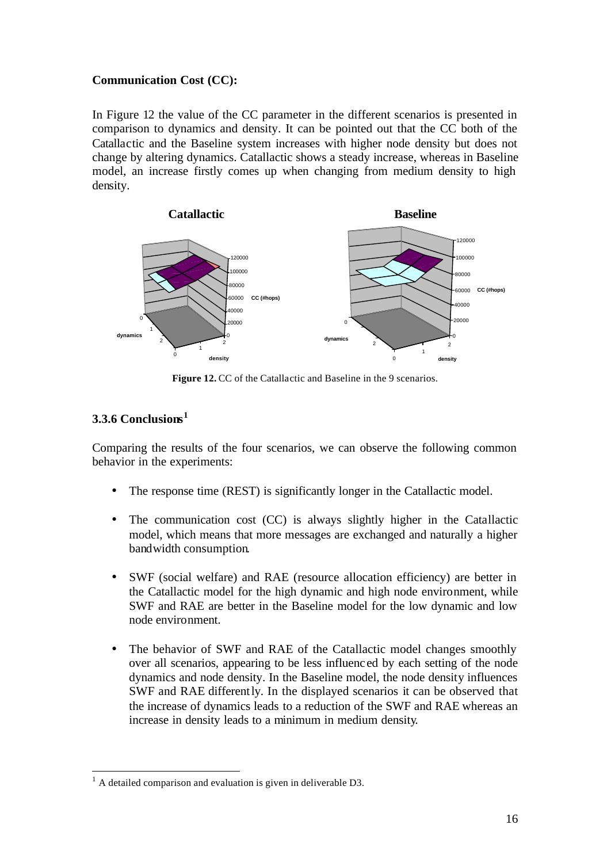#### **Communication Cost (CC):**

In Figure 12 the value of the CC parameter in the different scenarios is presented in comparison to dynamics and density. It can be pointed out that the CC both of the Catallactic and the Baseline system increases with higher node density but does not change by altering dynamics. Catallactic shows a steady increase, whereas in Baseline model, an increase firstly comes up when changing from medium density to high density.



**Figure 12.** CC of the Catallactic and Baseline in the 9 scenarios.

## **3.3.6 Conclusions 1**

Comparing the results of the four scenarios, we can observe the following common behavior in the experiments:

- The response time (REST) is significantly longer in the Catallactic model.
- The communication cost (CC) is always slightly higher in the Catallactic model, which means that more messages are exchanged and naturally a higher bandwidth consumption.
- SWF (social welfare) and RAE (resource allocation efficiency) are better in the Catallactic model for the high dynamic and high node environment, while SWF and RAE are better in the Baseline model for the low dynamic and low node environment.
- The behavior of SWF and RAE of the Catallactic model changes smoothly over all scenarios, appearing to be less influenc ed by each setting of the node dynamics and node density. In the Baseline model, the node density influences SWF and RAE differently. In the displayed scenarios it can be observed that the increase of dynamics leads to a reduction of the SWF and RAE whereas an increase in density leads to a minimum in medium density.

l  $<sup>1</sup>$  A detailed comparison and evaluation is given in deliverable D3.</sup>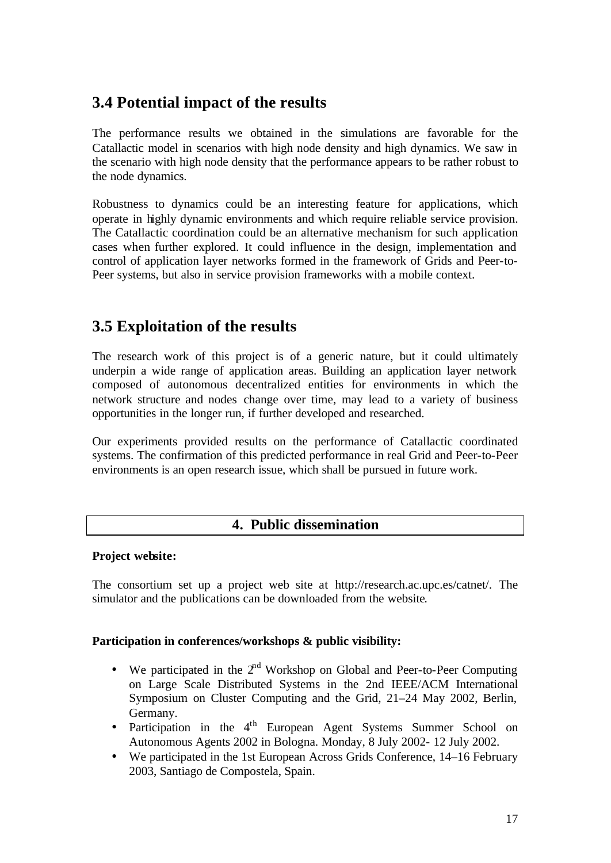# **3.4 Potential impact of the results**

The performance results we obtained in the simulations are favorable for the Catallactic model in scenarios with high node density and high dynamics. We saw in the scenario with high node density that the performance appears to be rather robust to the node dynamics.

Robustness to dynamics could be an interesting feature for applications, which operate in highly dynamic environments and which require reliable service provision. The Catallactic coordination could be an alternative mechanism for such application cases when further explored. It could influence in the design, implementation and control of application layer networks formed in the framework of Grids and Peer-to-Peer systems, but also in service provision frameworks with a mobile context.

# **3.5 Exploitation of the results**

The research work of this project is of a generic nature, but it could ultimately underpin a wide range of application areas. Building an application layer network composed of autonomous decentralized entities for environments in which the network structure and nodes change over time, may lead to a variety of business opportunities in the longer run, if further developed and researched.

Our experiments provided results on the performance of Catallactic coordinated systems. The confirmation of this predicted performance in real Grid and Peer-to-Peer environments is an open research issue, which shall be pursued in future work.

## **4. Public dissemination**

### **Project website:**

The consortium set up a project web site at http://research.ac.upc.es/catnet/. The simulator and the publications can be downloaded from the website.

### **Participation in conferences/workshops & public visibility:**

- We participated in the  $2<sup>nd</sup>$  Workshop on Global and Peer-to-Peer Computing on Large Scale Distributed Systems in the 2nd IEEE/ACM International Symposium on Cluster Computing and the Grid, 21–24 May 2002, Berlin, Germany.
- Participation in the 4<sup>th</sup> European Agent Systems Summer School on Autonomous Agents 2002 in Bologna. Monday, 8 July 2002- 12 July 2002.
- We participated in the 1st European Across Grids Conference, 14–16 February 2003, Santiago de Compostela, Spain.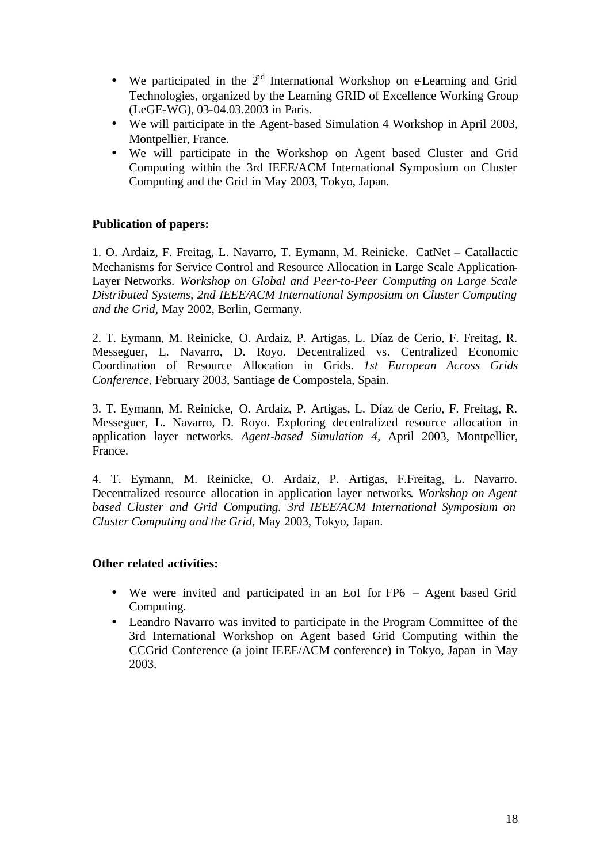- We participated in the  $2<sup>nd</sup>$  International Workshop on e-Learning and Grid Technologies, organized by the Learning GRID of Excellence Working Group (LeGE-WG), 03-04.03.2003 in Paris.
- We will participate in the Agent-based Simulation 4 Workshop in April 2003, Montpellier, France.
- We will participate in the Workshop on Agent based Cluster and Grid Computing within the 3rd IEEE/ACM International Symposium on Cluster Computing and the Grid in May 2003, Tokyo, Japan.

### **Publication of papers:**

1. O. Ardaiz, F. Freitag, L. Navarro, T. Eymann, M. Reinicke. CatNet – Catallactic Mechanisms for Service Control and Resource Allocation in Large Scale Application-Layer Networks. *Workshop on Global and Peer-to-Peer Computing on Large Scale Distributed Systems, 2nd IEEE/ACM International Symposium on Cluster Computing and the Grid,* May 2002, Berlin, Germany.

2. T. Eymann, M. Reinicke, O. Ardaiz, P. Artigas, L. Díaz de Cerio, F. Freitag, R. Messeguer, L. Navarro, D. Royo. Decentralized vs. Centralized Economic Coordination of Resource Allocation in Grids. *1st European Across Grids Conference,* February 2003, Santiage de Compostela, Spain.

3. T. Eymann, M. Reinicke, O. Ardaiz, P. Artigas, L. Díaz de Cerio, F. Freitag, R. Messeguer, L. Navarro, D. Royo. Exploring decentralized resource allocation in application layer networks. *Agent-based Simulation 4,* April 2003, Montpellier, France.

4. T. Eymann, M. Reinicke, O. Ardaiz, P. Artigas, F.Freitag, L. Navarro. Decentralized resource allocation in application layer networks. *Workshop on Agent based Cluster and Grid Computing. 3rd IEEE/ACM International Symposium on Cluster Computing and the Grid,* May 2003, Tokyo, Japan.

### **Other related activities:**

- We were invited and participated in an EoI for FP6 Agent based Grid Computing.
- Leandro Navarro was invited to participate in the Program Committee of the 3rd International Workshop on Agent based Grid Computing within the CCGrid Conference (a joint IEEE/ACM conference) in Tokyo, Japan in May 2003.